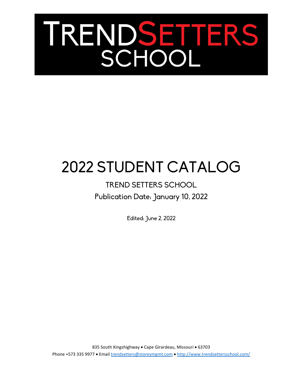# TRENDSETTERS

# 2022 STUDENT CATALOG

# TREND SETTERS SCHOOL Publication Date: January 10, 2022

Edited: June 2, 2022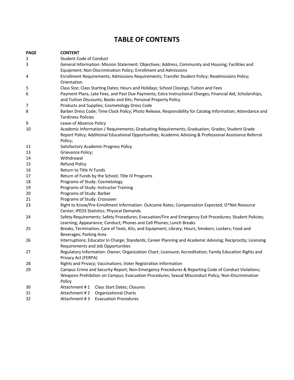## **TABLE OF CONTENTS**

| <b>PAGE</b> | <b>CONTENT</b>                                                                                              |  |  |  |  |
|-------------|-------------------------------------------------------------------------------------------------------------|--|--|--|--|
| 2           | Student Code of Conduct                                                                                     |  |  |  |  |
| 3           | General Information: Mission Statement; Objectives; Address, Community and Housing; Facilities and          |  |  |  |  |
|             | Equipment; Non-Discrimination Policy; Enrollment and Admissions                                             |  |  |  |  |
| 4           | Enrollment Requirements; Admissions Requirements; Transfer Student Policy; Readmissions Policy;             |  |  |  |  |
|             | Orientation                                                                                                 |  |  |  |  |
| 5           | Class Size; Class Starting Dates; Hours and Holidays; School Closings; Tuition and Fees                     |  |  |  |  |
| 6           | Payment Plans, Late Fees, and Past Due Payments; Extra Instructional Charges; Financial Aid, Scholarships,  |  |  |  |  |
|             | and Tuition Discounts; Books and Kits; Personal Property Policy                                             |  |  |  |  |
| 7           | Products and Supplies; Cosmetology Dress Code                                                               |  |  |  |  |
| 8           | Barber Dress Code; Time Clock Policy; Photo Release, Responsibility for Catalog Information; Attendance and |  |  |  |  |
|             | <b>Tardiness Policies</b>                                                                                   |  |  |  |  |
| 9           | Leave of Absence Policy                                                                                     |  |  |  |  |
| 10          | Academic Information / Requirements; Graduating Requirements; Graduation; Grades; Student Grade             |  |  |  |  |
|             | Report Policy; Additional Educational Opportunities; Academic Advising & Professional Assistance Referral   |  |  |  |  |
|             | Policy;                                                                                                     |  |  |  |  |
| 11          | <b>Satisfactory Academic Progress Policy</b>                                                                |  |  |  |  |
| 13<br>14    | Grievance Policy;<br>Withdrawal                                                                             |  |  |  |  |
| 15          | <b>Refund Policy</b>                                                                                        |  |  |  |  |
| 16          | Return to Title IV Funds                                                                                    |  |  |  |  |
| 17          |                                                                                                             |  |  |  |  |
| 18          | Return of Funds by the School; Title IV Programs<br>Programs of Study: Cosmetology                          |  |  |  |  |
| 19          | Programs of Study: Instructor Training                                                                      |  |  |  |  |
| 20          | Programs of Study: Barber                                                                                   |  |  |  |  |
| 21          | Programs of Study: Crossover                                                                                |  |  |  |  |
| 23          | Right to Know/Pre-Enrollment Information: Outcome Rates; Compensation Expected; O*Net Resource              |  |  |  |  |
|             | Center; IPEDS Statistics; Physical Demands                                                                  |  |  |  |  |
| 24          | Safety Requirements; Safety Procedures; Evacuation/Fire and Emergency Exit Procedures; Student Policies;    |  |  |  |  |
|             | Learning; Appearance; Conduct; Phones and Cell Phones; Lunch Breaks                                         |  |  |  |  |
| 25          | Breaks; Termination; Care of Texts, Kits, and Equipment; Library; Hours; Smokers; Lockers; Food and         |  |  |  |  |
|             | Beverages; Parking Area                                                                                     |  |  |  |  |
| 26          | Interruptions; Educator In Charge; Standards; Career Planning and Academic Advising; Reciprocity; Licensing |  |  |  |  |
|             | Requirements and Job Opportunities                                                                          |  |  |  |  |
| 27          | Regulatory Information: Owner; Organization Chart; Licensure; Accreditation; Family Education Rights and    |  |  |  |  |
|             | Privacy Act (FERPA)                                                                                         |  |  |  |  |
| 28          | Rights and Privacy; Vaccinations; Voter Registration Information                                            |  |  |  |  |
| 29          | Campus Crime and Security Report; Non-Emergency Procedures & Reporting Code of Conduct Violations;          |  |  |  |  |
|             | Weapons Prohibition on Campus; Evacuation Procedures; Sexual Misconduct Policy; Non-Discrimination          |  |  |  |  |
|             | Policy                                                                                                      |  |  |  |  |
| 30          | Attachment #1<br>Class Start Dates; Closures                                                                |  |  |  |  |
| 31          | Attachment #2<br><b>Organizational Charts</b>                                                               |  |  |  |  |
| 32          | <b>Evacuation Procedures</b><br>Attachment #3                                                               |  |  |  |  |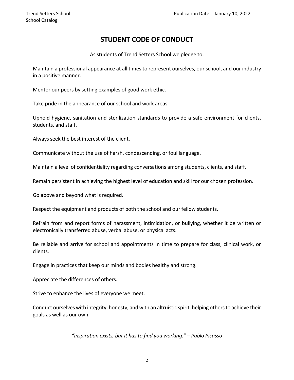### **STUDENT CODE OF CONDUCT**

As students of Trend Setters School we pledge to:

Maintain a professional appearance at all times to represent ourselves, our school, and our industry in a positive manner.

Mentor our peers by setting examples of good work ethic.

Take pride in the appearance of our school and work areas.

Uphold hygiene, sanitation and sterilization standards to provide a safe environment for clients, students, and staff.

Always seek the best interest of the client.

Communicate without the use of harsh, condescending, or foul language.

Maintain a level of confidentiality regarding conversations among students, clients, and staff.

Remain persistent in achieving the highest level of education and skill for our chosen profession.

Go above and beyond what is required.

Respect the equipment and products of both the school and our fellow students.

Refrain from and report forms of harassment, intimidation, or bullying, whether it be written or electronically transferred abuse, verbal abuse, or physical acts.

Be reliable and arrive for school and appointments in time to prepare for class, clinical work, or clients.

Engage in practices that keep our minds and bodies healthy and strong.

Appreciate the differences of others.

Strive to enhance the lives of everyone we meet.

Conduct ourselves with integrity, honesty, and with an altruistic spirit, helping others to achieve their goals as well as our own.

*"Inspiration exists, but it has to find you working." – Pablo Picasso*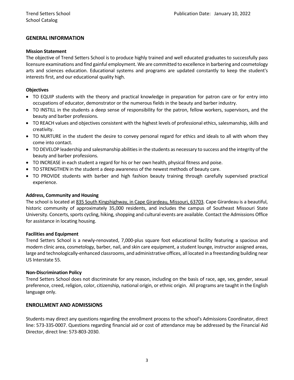#### **GENERAL INFORMATION**

#### **Mission Statement**

The objective of Trend Setters School is to produce highly trained and well educated graduates to successfully pass licensure examinations and find gainful employment. We are committed to excellence in barbering and cosmetology arts and sciences education. Educational systems and programs are updated constantly to keep the student's interests first, and our educational quality high.

#### **Objectives**

- TO EQUIP students with the theory and practical knowledge in preparation for patron care or for entry into occupations of educator, demonstrator or the numerous fields in the beauty and barber industry.
- TO INSTILL in the students a deep sense of responsibility for the patron, fellow workers, supervisors, and the beauty and barber professions.
- TO REACH values and objectives consistent with the highest levels of professional ethics, salesmanship, skills and creativity.
- TO NURTURE in the student the desire to convey personal regard for ethics and ideals to all with whom they come into contact.
- TO DEVELOP leadership and salesmanship abilities in the students as necessary to success and the integrity of the beauty and barber professions.
- TO INCREASE in each student a regard for his or her own health, physical fitness and poise.
- TO STRENGTHEN in the student a deep awareness of the newest methods of beauty care.
- TO PROVIDE students with barber and high fashion beauty training through carefully supervised practical experience.

#### **Address, Community and Housing**

The school is located at 835 South Kingshighway, in Cape Girardeau, Missouri, 63703. Cape Girardeau is a beautiful, historic community of approximately 35,000 residents, and includes the campus of Southeast Missouri State University. Concerts, sports cycling, hiking, shopping and cultural events are available. Contact the Admissions Office for assistance in locating housing.

#### **Facilities and Equipment**

Trend Setters School is a newly-renovated, 7,000-plus square foot educational facility featuring a spacious and modern clinic area, cosmetology, barber, nail, and skin care equipment, a student lounge, instructor assigned areas, large and technologically-enhanced classrooms, and administrative offices, all located in a freestanding building near US Interstate 55.

#### **Non-Discrimination Policy**

Trend Setters School does not discriminate for any reason, including on the basis of race, age, sex, gender, sexual preference, creed, religion, color, citizenship, national origin, or ethnic origin. All programs are taught in the English language only.

#### **ENROLLMENT AND ADMISSIONS**

Students may direct any questions regarding the enrollment process to the school's Admissions Coordinator, direct line: 573-335-0007. Questions regarding financial aid or cost of attendance may be addressed by the Financial Aid Director, direct line: 573-803-2030.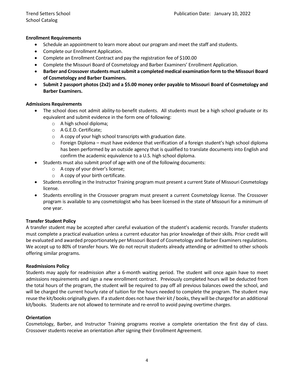#### **Enrollment Requirements**

- Schedule an appointment to learn more about our program and meet the staff and students.
- Complete our Enrollment Application.
- Complete an Enrollment Contract and pay the registration fee of \$100.00
- Complete the Missouri Board of Cosmetology and Barber Examiners' Enrollment Application.
- **Barber and Crossover students must submit a completed medical examination form to the Missouri Board of Cosmetology and Barber Examiners.**
- **Submit 2 passport photos (2x2) and a \$5.00 money order payable to Missouri Board of Cosmetology and Barber Examiners.**

#### **Admissions Requirements**

- The school does not admit ability-to-benefit students. All students must be a high school graduate or its equivalent and submit evidence in the form one of following:
	- o A high school diploma;
	- o A G.E.D. Certificate;
	- o A copy of your high school transcripts with graduation date.
	- $\circ$  Foreign Diploma must have evidence that verification of a foreign student's high school diploma has been performed by an outside agency that is qualified to translate documents into English and confirm the academic equivalence to a U.S. high school diploma.
- Students must also submit proof of age with one of the following documents:
	- o A copy of your driver's license;
	- $\circ$  A copy of your birth certificate.
- Students enrolling in the Instructor Training program must present a current State of Missouri Cosmetology license.
- Students enrolling in the Crossover program must present a current Cosmetology license. The Crossover program is available to any cosmetologist who has been licensed in the state of Missouri for a minimum of one year.

#### **Transfer Student Policy**

A transfer student may be accepted after careful evaluation of the student's academic records. Transfer students must complete a practical evaluation unless a current educator has prior knowledge of their skills. Prior credit will be evaluated and awarded proportionately per Missouri Board of Cosmetology and Barber Examiners regulations. We accept up to 80% of transfer hours. We do not recruit students already attending or admitted to other schools offering similar programs.

#### **Readmissions Policy**

Students may apply for readmission after a 6-month waiting period. The student will once again have to meet admissions requirements and sign a new enrollment contract. Previously completed hours will be deducted from the total hours of the program, the student will be required to pay off all previous balances owed the school, and will be charged the current hourly rate of tuition for the hours needed to complete the program. The student may reuse the kit/books originally given. If a student does not have their kit / books, they will be charged for an additional kit/books. Students are not allowed to terminate and re-enroll to avoid paying overtime charges.

#### **Orientation**

Cosmetology, Barber, and Instructor Training programs receive a complete orientation the first day of class. Crossover students receive an orientation after signing their Enrollment Agreement.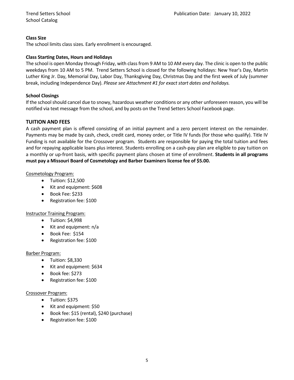#### **Class Size**

The school limits class sizes. Early enrollment is encouraged.

#### **Class Starting Dates, Hours and Holidays**

The school is open Monday through Friday, with class from 9 AM to 10 AM every day. The clinic is open to the public weekdays from 10 AM to 5 PM. Trend Setters School is closed for the following holidays: New Year's Day, Martin Luther King Jr. Day, Memorial Day, Labor Day, Thanksgiving Day, Christmas Day and the first week of July (summer break, including Independence Day). *Please see Attachment #1 for exact start dates and holidays.*

#### **School Closings**

If the school should cancel due to snowy, hazardous weather conditions or any other unforeseen reason, you will be notified via text message from the school, and by posts on the Trend Setters School Facebook page.

#### **TUITION AND FEES**

A cash payment plan is offered consisting of an initial payment and a zero percent interest on the remainder. Payments may be made by cash, check, credit card, money order, or Title IV funds (for those who qualify). Title IV Funding is not available for the Crossover program. Students are responsible for paying the total tuition and fees and for repaying applicable loans plus interest. Students enrolling on a cash-pay plan are eligible to pay tuition on a monthly or up-front basis, with specific payment plans chosen at time of enrollment. **Students in all programs must pay a Missouri Board of Cosmetology and Barber Examiners license fee of \$5.00.**

#### Cosmetology Program:

- Tuition: \$12,500
- Kit and equipment: \$608
- Book Fee: \$233
- Registration fee: \$100

#### Instructor Training Program:

- Tuition: \$4,998
- Kit and equipment: n/a
- Book Fee: \$154
- Registration fee: \$100

#### Barber Program:

- Tuition: \$8,330
- Kit and equipment: \$634
- Book fee: \$273
- Registration fee: \$100

#### Crossover Program:

- Tuition: \$375
- Kit and equipment: \$50
- Book fee: \$15 (rental), \$240 (purchase)
- Registration fee: \$100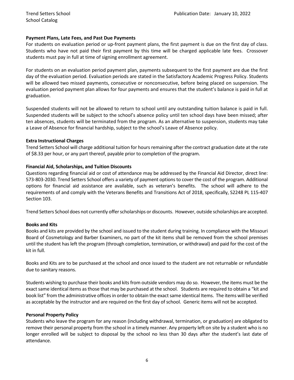#### **Payment Plans, Late Fees, and Past Due Payments**

For students on evaluation period or up-front payment plans, the first payment is due on the first day of class. Students who have not paid their first payment by this time will be charged applicable late fees. Crossover students must pay in full at time of signing enrollment agreement.

For students on an evaluation period payment plan, payments subsequent to the first payment are due the first day of the evaluation period. Evaluation periods are stated in the Satisfactory Academic Progress Policy. Students will be allowed two missed payments, consecutive or nonconsecutive, before being placed on suspension. The evaluation period payment plan allows for four payments and ensures that the student's balance is paid in full at graduation.

Suspended students will not be allowed to return to school until any outstanding tuition balance is paid in full. Suspended students will be subject to the school's absence policy until ten school days have been missed; after ten absences, students will be terminated from the program. As an alternative to suspension, students may take a Leave of Absence for financial hardship, subject to the school's Leave of Absence policy.

#### **Extra Instructional Charges**

Trend Setters School will charge additional tuition for hours remaining after the contract graduation date at the rate of \$8.33 per hour, or any part thereof, payable prior to completion of the program.

#### **Financial Aid, Scholarships, and Tuition Discounts**

Questions regarding financial aid or cost of attendance may be addressed by the Financial Aid Director, direct line: 573-803-2030. Trend Setters School offers a variety of payment options to cover the cost of the program. Additional options for financial aid assistance are available, such as veteran's benefits. The school will adhere to the requirements of and comply with the Veterans Benefits and Transitions Act of 2018, specifically, S2248 PL 115-407 Section 103.

Trend Setters School does not currently offer scholarships or discounts. However, outside scholarships are accepted.

#### **Books and Kits**

Books and kits are provided by the school and issued to the student during training. In compliance with the Missouri Board of Cosmetology and Barber Examiners, no part of the kit items shall be removed from the school premises until the student has left the program (through completion, termination, or withdrawal) and paid for the cost of the kit in full.

Books and Kits are to be purchased at the school and once issued to the student are not returnable or refundable due to sanitary reasons.

Students wishing to purchase their books and kits from outside vendors may do so. However, the items must be the exact same identical items as those that may be purchased at the school. Students are required to obtain a "kit and book list" from the administrative offices in order to obtain the exact same identical Items. The items will be verified as acceptable by the instructor and are required on the first day of school. Generic items will not be accepted.

#### **Personal Property Policy**

Students who leave the program for any reason (including withdrawal, termination, or graduation) are obligated to remove their personal property from the school in a timely manner. Any property left on site by a student who is no longer enrolled will be subject to disposal by the school no less than 30 days after the student's last date of attendance.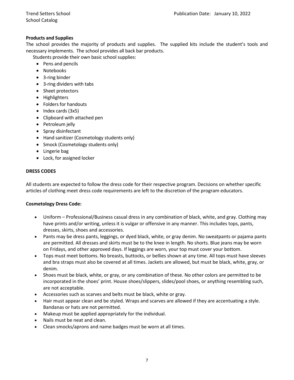#### **Products and Supplies**

The school provides the majority of products and supplies. The supplied kits include the student's tools and necessary implements. The school provides all back bar products.

Students provide their own basic school supplies:

- Pens and pencils
- Notebooks
- 3-ring binder
- 3-ring dividers with tabs
- Sheet protectors
- Highlighters
- Folders for handouts
- Index cards (3x5)
- Clipboard with attached pen
- Petroleum jelly
- Spray disinfectant
- Hand sanitizer (Cosmetology students only)
- Smock (Cosmetology students only)
- Lingerie bag
- Lock, for assigned locker

#### **DRESS CODES**

All students are expected to follow the dress code for their respective program. Decisions on whether specific articles of clothing meet dress code requirements are left to the discretion of the program educators.

#### **Cosmetology Dress Code:**

- Uniform Professional/Business casual dress in any combination of black, white, and gray. Clothing may have prints and/or writing, unless it is vulgar or offensive in any manner. This includes tops, pants, dresses, skirts, shoes and accessories.
- Pants may be dress pants, leggings, or dyed black, white, or gray denim. No sweatpants or pajama pants are permitted. All dresses and skirts must be to the knee in length. No shorts. Blue jeans may be worn on Fridays, and other approved days. If leggings are worn, your top must cover your bottom.
- Tops must meet bottoms. No breasts, buttocks, or bellies shown at any time. All tops must have sleeves and bra straps must also be covered at all times. Jackets are allowed, but must be black, white, gray, or denim.
- Shoes must be black, white, or gray, or any combination of these. No other colors are permitted to be incorporated in the shoes' print. House shoes/slippers, slides/pool shoes, or anything resembling such, are not acceptable.
- Accessories such as scarves and belts must be black, white or gray.
- Hair must appear clean and be styled. Wraps and scarves are allowed if they are accentuating a style. Bandanas or hats are not permitted.
- Makeup must be applied appropriately for the individual.
- Nails must be neat and clean.
- Clean smocks/aprons and name badges must be worn at all times.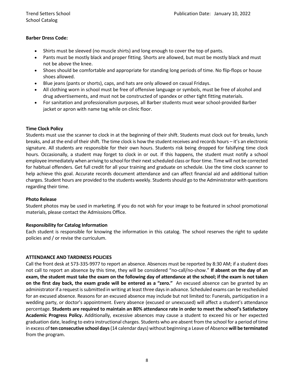#### **Barber Dress Code:**

- Shirts must be sleeved (no muscle shirts) and long enough to cover the top of pants.
- Pants must be mostly black and proper fitting. Shorts are allowed, but must be mostly black and must not be above the knee.
- Shoes should be comfortable and appropriate for standing long periods of time. No flip-flops or house shoes allowed.
- Blue jeans (pants or shorts), caps, and hats are only allowed on casual Fridays.
- All clothing worn in school must be free of offensive language or symbols, must be free of alcohol and drug advertisements, and must not be constructed of spandex or other tight fitting materials.
- For sanitation and professionalism purposes, all Barber students must wear school-provided Barber jacket or apron with name tag while on clinic floor.

#### **Time Clock Policy**

Students must use the scanner to clock in at the beginning of their shift. Students must clock out for breaks, lunch breaks, and at the end of their shift. The time clock is how the student receives and records hours – it's an electronic signature. All students are responsible for their own hours. Students risk being dropped for falsifying time clock hours. Occasionally, a student may forget to clock in or out. If this happens, the student must notify a school employee immediately when arriving to school for their next scheduled class or floor time. Time will not be corrected for habitual offenders. Get full credit for all your training and graduate on schedule. Use the time clock scanner to help achieve this goal. Accurate records document attendance and can affect financial aid and additional tuition charges. Student hours are provided to the students weekly. Studentsshould go to the Administrator with questions regarding their time.

#### **Photo Release**

Student photos may be used in marketing. If you do not wish for your image to be featured in school promotional materials, please contact the Admissions Office.

#### **Responsibility for Catalog Information**

Each student is responsible for knowing the information in this catalog. The school reserves the right to update policies and / or revise the curriculum.

#### **ATTENDANCE AND TARDINESS POLICIES**

Call the front desk at 573-335-9977 to report an absence. Absences must be reported by 8:30 AM; if a student does not call to report an absence by this time, they will be considered "no-call/no-show." **If absent on the day of an exam, the student must take the exam on the following day of attendance at the school; if the exam is not taken on the first day back, the exam grade will be entered as a "zero."** An excused absence can be granted by an administrator if a request is submitted in writing at least three days in advance. Scheduled exams can be rescheduled for an excused absence. Reasons for an excused absence may include but not limited to: Funerals, participation in a wedding party, or doctor's appointment. Every absence (excused or unexcused) will affect a student's attendance percentage. **Students are required to maintain an 80% attendance rate in order to meet the school's Satisfactory Academic Progress Policy.** Additionally, excessive absences may cause a student to exceed his or her expected graduation date, leading to extra instructional charges. Students who are absent from the school for a period of time in excess of **ten consecutive school days**(14 calendar days) without beginning a Leave of Absence **will be terminated** from the program.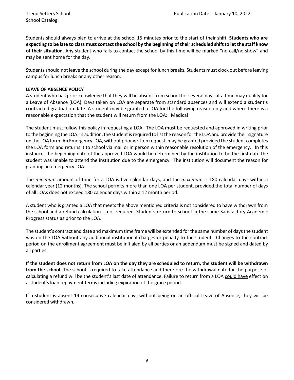Students should always plan to arrive at the school 15 minutes prior to the start of their shift. **Students who are expecting to be late to class must contact the school by the beginning of their scheduled shift to let the staff know of their situation.** Any student who fails to contact the school by this time will be marked "no-call/no-show" and may be sent home for the day.

Students should not leave the school during the day except for lunch breaks. Students must clock out before leaving campus for lunch breaks or any other reason.

#### **LEAVE OF ABSENCE POLICY**

A student who has prior knowledge that they will be absent from school for several days at a time may qualify for a Leave of Absence (LOA). Days taken on LOA are separate from standard absences and will extend a student's contracted graduation date. A student may be granted a LOA for the following reason only and where there is a reasonable expectation that the student will return from the LOA: Medical

The student must follow this policy in requesting a LOA. The LOA must be requested and approved in writing prior to the beginning the LOA. In addition, the student is required to list the reason for the LOA and provide their signature on the LOA form. An Emergency LOA, without prior written request, may be granted provided the student completes the LOA form and returns it to school via mail or in person within reasonable resolution of the emergency. In this instance, the beginning date of the approved LOA would be determined by the institution to be the first date the student was unable to attend the institution due to the emergency. The institution will document the reason for granting an emergency LOA.

The *minimum* amount of time for a LOA is five calendar days, and the *maximum* is 180 calendar days within a calendar year (12 months). The school permits more than one LOA per student, provided the total number of days of all LOAs does not exceed 180 calendar days within a 12 month period.

A student who is granted a LOA that meets the above mentioned criteria is not considered to have withdrawn from the school and a refund calculation is not required. Students return to school in the same Satisfactory Academic Progress status as prior to the LOA.

The student's contract end date and maximum time frame will be extended for the same number of days the student was on the LOA without any additional institutional charges or penalty to the student. Changes to the contract period on the enrollment agreement must be initialed by all parties or an addendum must be signed and dated by all parties.

**If the student does not return from LOA on the day they are scheduled to return, the student will be withdrawn from the school.** The school is required to take attendance and therefore the withdrawal date for the purpose of calculating a refund will be the student's last date of attendance. Failure to return from a LOA could have effect on a student's loan repayment terms including expiration of the grace period.

If a student is absent 14 consecutive calendar days without being on an official Leave of Absence, they will be considered withdrawn.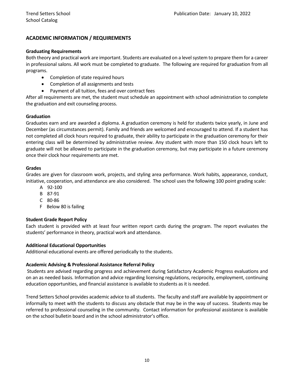#### **ACADEMIC INFORMATION / REQUIREMENTS**

#### **Graduating Requirements**

Both theory and practical work are important. Students are evaluated on a level system to prepare them for a career in professional salons. All work must be completed to graduate. The following are required for graduation from all programs.

- Completion of state required hours
- Completion of all assignments and tests
- Payment of all tuition, fees and over contract fees

After all requirements are met, the student must schedule an appointment with school administration to complete the graduation and exit counseling process.

#### **Graduation**

Graduates earn and are awarded a diploma. A graduation ceremony is held for students twice yearly, in June and December (as circumstances permit). Family and friends are welcomed and encouraged to attend. If a student has not completed all clock hours required to graduate, their ability to participate in the graduation ceremony for their entering class will be determined by administrative review. Any student with more than 150 clock hours left to graduate will not be allowed to participate in the graduation ceremony, but may participate in a future ceremony once their clock hour requirements are met.

#### **Grades**

Grades are given for classroom work, projects, and styling area performance. Work habits, appearance, conduct, initiative, cooperation, and attendance are also considered. The school uses the following 100 point grading scale:

- A 92-100
- B 87-91
- C 80-86
- F Below 80 is failing

#### **Student Grade Report Policy**

Each student is provided with at least four written report cards during the program. The report evaluates the students' performance in theory, practical work and attendance.

#### **Additional Educational Opportunities**

Additional educational events are offered periodically to the students.

#### **Academic Advising & Professional Assistance Referral Policy**

Students are advised regarding progress and achievement during Satisfactory Academic Progress evaluations and on an as needed basis. Information and advice regarding licensing regulations, reciprocity, employment, continuing education opportunities, and financial assistance is available to students as it is needed.

Trend Setters School provides academic advice to all students. The faculty and staff are available by appointment or informally to meet with the students to discuss any obstacle that may be in the way of success. Students may be referred to professional counseling in the community. Contact information for professional assistance is available on the school bulletin board and in the school administrator's office.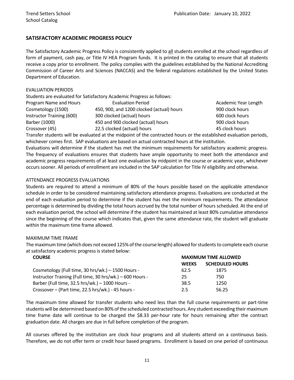#### **SATISFACTORY ACADEMIC PROGRESS POLICY**

The Satisfactory Academic Progress Policy is consistently applied to all students enrolled at the school regardless of form of payment, cash pay, or Title IV HEA Program funds. It is printed in the catalog to ensure that all students receive a copy prior to enrollment. The policy complies with the guidelines established by the National Accrediting Commission of Career Arts and Sciences (NACCAS) and the federal regulations established by the United States Department of Education.

#### EVALUATION PERIODS

|                           | Students are evaluated for Satisfactory Academic Progress as follows: |                      |
|---------------------------|-----------------------------------------------------------------------|----------------------|
| Program Name and Hours    | <b>Evaluation Period</b>                                              | Academic Year Length |
| Cosmetology (1500)        | 450, 900, and 1200 clocked (actual) hours                             | 900 clock hours      |
| Instructor Training (600) | 300 clocked (actual) hours                                            | 600 clock hours      |
| Barber (1000)             | 450 and 900 clocked (actual) hours                                    | 900 clock hours      |
| Crossover (45)            | 22.5 clocked (actual) hours                                           | 45 clock hours       |

Transfer students will be evaluated at the midpoint of the contracted hours or the established evaluation periods, whichever comes first. SAP evaluations are based on actual contracted hours at the institution.

Evaluations will determine if the student has met the minimum requirements for satisfactory academic progress. The frequency of evaluations ensures that students have ample opportunity to meet both the attendance and academic progress requirements of at least one evaluation by midpoint in the course or academic year, whichever occurs sooner. All periods of enrollment are included in the SAP calculation for Title IV eligibility and otherwise.

#### ATTENDANCE PROGRESS EVALUATIONS

Students are required to attend a minimum of 80% of the hours possible based on the applicable attendance schedule in order to be considered maintaining satisfactory attendance progress. Evaluations are conducted at the end of each evaluation period to determine if the student has met the minimum requirements. The attendance percentage is determined by dividing the total hours accrued by the total number of hours scheduled. At the end of each evaluation period, the school will determine if the student has maintained at least 80% cumulative attendance since the beginning of the course which indicates that, given the same attendance rate, the student will graduate within the maximum time frame allowed.

#### MAXIMUM TIME FRAME

The maximumtime (which does not exceed 125% of the course length) allowed for students to complete each course at satisfactory academic progress is stated below:

| <b>COURSE</b>                                             | <b>MAXIMUM TIME ALLOWED</b> |                        |  |
|-----------------------------------------------------------|-----------------------------|------------------------|--|
|                                                           | <b>WEEKS</b>                | <b>SCHEDULED HOURS</b> |  |
| Cosmetology (Full time, 30 hrs/wk.) – 1500 Hours -        | 62.5                        | 1875                   |  |
| Instructor Training (Full time, 30 hrs/wk.) - 600 Hours - | 25                          | 750                    |  |
| Barber (Full time, 32.5 hrs/wk.) - 1000 Hours -           | 38.5                        | 1250                   |  |
| Crossover - (Part time, 22.5 hrs/wk.) - 45 hours -        | 2.5                         | 56.25                  |  |

The maximum time allowed for transfer students who need less than the full course requirements or part-time students will be determined based on 80% of the scheduled contracted hours. Any student exceeding their maximum time frame date will continue to be charged the \$8.33 per-hour rate for hours remaining after the contract graduation date. All charges are due in full before completion of the program.

All courses offered by the institution are clock hour programs and all students attend on a continuous basis. Therefore, we do not offer term or credit hour based programs. Enrollment is based on one period of continuous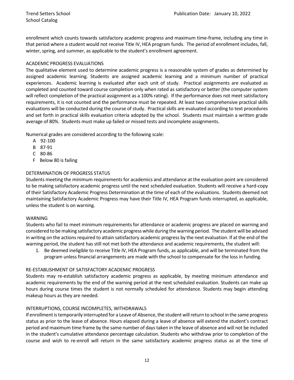enrollment which counts towards satisfactory academic progress and maximum time-frame, including any time in that period where a student would not receive Title IV, HEA program funds. The period of enrollment includes, fall, winter, spring, and summer, as applicable to the student's enrollment agreement.

#### ACADEMIC PROGRESS EVALUATIONS

The qualitative element used to determine academic progress is a reasonable system of grades as determined by assigned academic learning. Students are assigned academic learning and a minimum number of practical experiences. Academic learning is evaluated after each unit of study. Practical assignments are evaluated as completed and counted toward course completion only when rated as satisfactory or better (the computer system will reflect completion of the practical assignment as a 100% rating). If the performance does not meet satisfactory requirements, it is not counted and the performance must be repeated. At least two comprehensive practical skills evaluations will be conducted during the course of study. Practical skills are evaluated according to text procedures and set forth in practical skills evaluation criteria adopted by the school. Students must maintain a written grade average of 80%. Students must make up failed or missed tests and incomplete assignments.

Numerical grades are considered according to the following scale:

- A 92-100
- B 87-91
- C 80-86
- F Below 80 is failing

#### DETERMINATION OF PROGRESS STATUS

Students meeting the minimum requirements for academics and attendance at the evaluation point are considered to be making satisfactory academic progress until the next scheduled evaluation. Students will receive a hard-copy of their Satisfactory Academic Progress Determination at the time of each of the evaluations. Students deemed not maintaining Satisfactory Academic Progress may have their Title IV, HEA Program funds interrupted, as applicable, unless the student is on warning.

#### WARNING

Students who fail to meet minimum requirements for attendance or academic progress are placed on warning and considered to be making satisfactory academic progress while during the warning period. The student will be advised in writing on the actions required to attain satisfactory academic progress by the next evaluation. If at the end of the warning period, the student has still not met both the attendance and academic requirements, the student will:

1. Be deemed ineligible to receive Title IV, HEA Program funds, as applicable, and will be terminated from the program unless financial arrangements are made with the school to compensate for the loss in funding.

#### RE-ESTABLISHMENT OF SATISFACTORY ACADEMIC PROGRESS

Students may re-establish satisfactory academic progress as applicable, by meeting minimum attendance and academic requirements by the end of the warning period at the next scheduled evaluation. Students can make up hours during course times the student is not normally scheduled for attendance. Students may begin attending makeup hours as they are needed.

#### INTERRUPTIONS, COURSE INCOMPLETES, WITHDRAWALS

If enrollment is temporarily interrupted for a Leave of Absence, the student will return to school in the same progress status as prior to the leave of absence. Hours elapsed during a leave of absence will extend the student's contract period and maximum time frame by the same number of days taken in the leave of absence and will not be included in the student's cumulative attendance percentage calculation. Students who withdraw prior to completion of the course and wish to re-enroll will return in the same satisfactory academic progress status as at the time of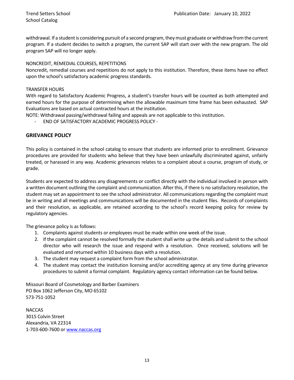withdrawal. If a student is considering pursuit of a second program, they must graduate or withdraw from the current program. If a student decides to switch a program, the current SAP will start over with the new program. The old program SAP will no longer apply.

#### NONCREDIT, REMEDIAL COURSES, REPETITIONS

Noncredit, remedial courses and repetitions do not apply to this institution. Therefore, these items have no effect upon the school's satisfactory academic progress standards.

#### TRANSFER HOURS

With regard to Satisfactory Academic Progress, a student's transfer hours will be counted as both attempted and earned hours for the purpose of determining when the allowable maximum time frame has been exhausted. SAP Evaluations are based on actual contracted hours at the institution.

NOTE: Withdrawal passing/withdrawal failing and appeals are not applicable to this institution.

- END OF SATISFACTORY ACADEMIC PROGRESS POLICY -

#### **GRIEVANCE POLICY**

This policy is contained in the school catalog to ensure that students are informed prior to enrollment. Grievance procedures are provided for students who believe that they have been unlawfully discriminated against, unfairly treated, or harassed in any way. Academic grievances relates to a complaint about a course, program of study, or grade.

Students are expected to address any disagreements or conflict directly with the individual involved in person with a written document outlining the complaint and communication. After this, if there is no satisfactory resolution, the student may set an appointment to see the school administrator. All communications regarding the complaint must be in writing and all meetings and communications will be documented in the student files. Records of complaints and their resolution, as applicable, are retained according to the school's record keeping policy for review by regulatory agencies.

The grievance policy is as follows:

- 1. Complaints against students or employees must be made within one week of the issue.
- 2. If the complaint cannot be resolved formally the student shall write up the details and submit to the school director who will research the issue and respond with a resolution. Once received, solutions will be evaluated and returned within 10 business days with a resolution.
- 3. The student may request a complaint form from the school administrator.
- 4. The student may contact the institution licensing and/or accrediting agency at any time during grievance procedures to submit a formal complaint. Regulatory agency contact information can be found below.

Missouri Board of Cosmetology and Barber Examiners PO Box 1062 Jefferson City, MO 65102 573-751-1052

NACCAS 3015 Colvin Street Alexandria, VA 22314 1-703-600-7600 o[r www.naccas.org](http://www.naccas.org/)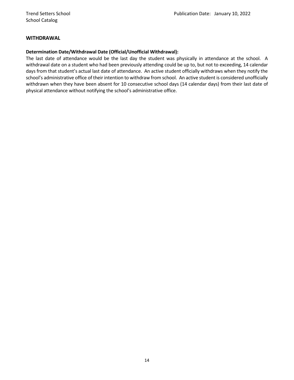#### **WITHDRAWAL**

#### **Determination Date/Withdrawal Date (Official/Unofficial Withdrawal):**

The last date of attendance would be the last day the student was physically in attendance at the school. A withdrawal date on a student who had been previously attending could be up to, but not to exceeding, 14 calendar days from that student's actual last date of attendance. An active student officially withdraws when they notify the school's administrative office of their intention to withdraw from school. An active student is considered unofficially withdrawn when they have been absent for 10 consecutive school days (14 calendar days) from their last date of physical attendance without notifying the school's administrative office.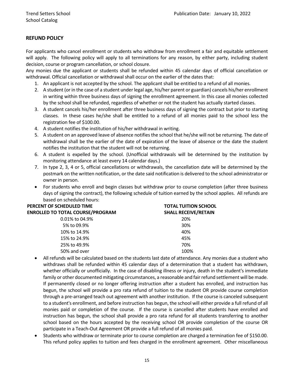#### **REFUND POLICY**

For applicants who cancel enrollment or students who withdraw from enrollment a fair and equitable settlement will apply. The following policy will apply to all terminations for any reason, by either party, including student decision, course or program cancellation, or school closure.

Any monies due the applicant or students shall be refunded within 45 calendar days of official cancellation or withdrawal. Official cancellation or withdrawal shall occur on the earlier of the dates that:

- 1. An applicant is not accepted by the school. The applicant shall be entitled to a refund of all monies.
- 2. A student (or in the case of a student under legal age, his/her parent or guardian) cancels his/her enrollment in writing within three business days of signing the enrollment agreement. In this case all monies collected by the school shall be refunded, regardless of whether or not the student has actually started classes.
- 3. A student cancels his/her enrollment after three business days of signing the contract but prior to starting classes. In these cases he/she shall be entitled to a refund of all monies paid to the school less the registration fee of \$100.00.
- 4. A student notifies the institution of his/her withdrawal in writing.
- 5. A student on an approved leave of absence notifies the school that he/she will not be returning. The date of withdrawal shall be the earlier of the date of expiration of the leave of absence or the date the student notifies the institution that the student will not be returning.
- 6. A student is expelled by the school. (Unofficial withdrawals will be determined by the institution by monitoring attendance at least every 14 calendar days.)
- 7. In type 2, 3, 4 or 5, official cancellations or withdrawals, the cancellation date will be determined by the postmark on the written notification, or the date said notification is delivered to the school administrator or owner in person.
- For students who enroll and begin classes but withdraw prior to course completion (after three business days of signing the contract), the following schedule of tuition earned by the school applies. All refunds are based on scheduled hours:

| PERCENT OF SCHEDULED TIME               | <b>TOTAL TUITION SCHOOL</b> |  |
|-----------------------------------------|-----------------------------|--|
| <b>ENROLLED TO TOTAL COURSE/PROGRAM</b> | <b>SHALL RECEIVE/RETAIN</b> |  |
| 0.01% to 04.9%                          | 20%                         |  |
| 5% to 09.9%                             | 30%                         |  |
| 10% to 14.9%                            | 40%                         |  |
| 15% to 24.9%                            | 45%                         |  |
| 25% to 49.9%                            | 70%                         |  |
| 50% and over                            | 100%                        |  |

- All refunds will be calculated based on the students last date of attendance. Any monies due a student who withdraws shall be refunded within 45 calendar days of a determination that a student has withdrawn, whether officially or unofficially. In the case of disabling illness or injury, death in the student's immediate family or other documented mitigating circumstances, a reasonable and fair refund settlement will be made. If permanently closed or no longer offering instruction after a student has enrolled, and instruction has begun, the school will provide a pro rata refund of tuition to the student OR provide course completion through a pre-arranged teach out agreement with another institution. If the course is canceled subsequent to a student's enrollment, and before instruction has begun, the school will either provide a full refund of all monies paid or completion of the course. If the course is cancelled after students have enrolled and instruction has begun, the school shall provide a pro rata refund for all students transferring to another school based on the hours accepted by the receiving school OR provide completion of the course OR participate in a Teach-Out Agreement OR provide a full refund of all monies paid.
- Students who withdraw or terminate prior to course completion are charged a termination fee of \$150.00. This refund policy applies to tuition and fees charged in the enrollment agreement. Other miscellaneous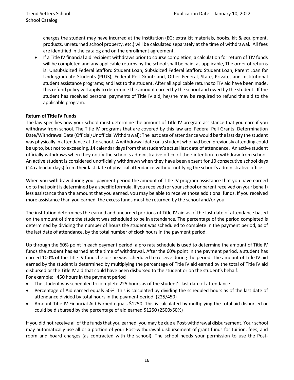charges the student may have incurred at the institution (EG: extra kit materials, books, kit & equipment, products, unreturned school property, etc.) will be calculated separately at the time of withdrawal. All fees are identified in the catalog and on the enrollment agreement.

• If a Title IV financial aid recipient withdraws prior to course completion, a calculation for return of TIV funds will be completed and any applicable returns by the school shall be paid, as applicable, The order of returns is: Unsubsidized Federal Stafford Student Loan; Subsidized Federal Stafford Student Loan; Parent Loan for Undergraduate Students (PLUS); Federal Pell Grant; and, Other Federal, State, Private, and Institutional student assistance programs; and last to the student. After all applicable returns to TIV aid have been made, this refund policy will apply to determine the amount earned by the school and owed by the student. If the student has received personal payments of Title IV aid, he/she may be required to refund the aid to the applicable program.

#### **Return of Title IV Funds**

The law specifies how your school must determine the amount of Title IV program assistance that you earn if you withdraw from school. The Title IV programs that are covered by this law are: Federal Pell Grants. Determination Date/Withdrawal Date (Official/Unofficial Withdrawal): The last date of attendance would be the last day the student was physically in attendance at the school. A withdrawal date on a student who had been previously attending could be up to, but not to exceeding, 14 calendar days from that student's actual last date of attendance. An active student officially withdraws when they notify the school's administrative office of their intention to withdraw from school. An active student is considered unofficially withdrawn when they have been absent for 10 consecutive school days (14 calendar days) from their last date of physical attendance without notifying the school's administrative office.

When you withdraw during your payment period the amount of Title IV program assistance that you have earned up to that point is determined by a specific formula. If you received (or your school or parent received on your behalf) less assistance than the amount that you earned, you may be able to receive those additional funds. If you received more assistance than you earned, the excess funds must be returned by the school and/or you.

The institution determines the earned and unearned portions of Title IV aid as of the last date of attendance based on the amount of time the student was scheduled to be in attendance. The percentage of the period completed is determined by dividing the number of hours the student was scheduled to complete in the payment period, as of the last date of attendance, by the total number of clock hours in the payment period.

Up through the 60% point in each payment period, a pro rata schedule is used to determine the amount of Title IV funds the student has earned at the time of withdrawal. After the 60% point in the payment period, a student has earned 100% of the Title IV funds he or she was scheduled to receive during the period. The amount of Title IV aid earned by the student is determined by multiplying the percentage of Title IV aid earned by the total of Title IV aid disbursed or the Title IV aid that could have been disbursed to the student or on the student's behalf. For example: 450 hours in the payment period

- The student was scheduled to complete 225 hours as of the student's last date of attendance
- Percentage of Aid earned equals 50%. This is calculated by dividing the scheduled hours as of the last date of attendance divided by total hours in the payment period. (225/450)
- Amount Title IV Financial Aid Earned equals \$1250. This is calculated by multiplying the total aid disbursed or could be disbursed by the percentage of aid earned \$1250 (2500x50%)

If you did not receive all of the funds that you earned, you may be due a Post-withdrawal disbursement. Your school may automatically use all or a portion of your Post-withdrawal disbursement of grant funds for tuition, fees, and room and board charges (as contracted with the school). The school needs your permission to use the Post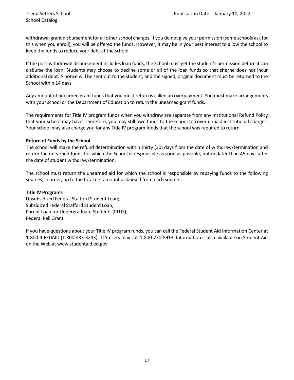withdrawal grant disbursement for all other school charges. If you do not give your permission (some schools ask for this when you enroll), you will be offered the funds. However, it may be in your best interest to allow the school to keep the funds to reduce your debt at the school.

If the post-withdrawal disbursement includes loan funds, the School must get the student's permission before it can disburse the loan. Students may choose to decline some or all of the loan funds so that she/he does not incur additional debt. A notice will be sent out to the student, and the signed, original document must be returned to the School within 14 days.

Any amount of unearned grant funds that you must return is called an overpayment. You must make arrangements with your school or the Department of Education to return the unearned grant funds.

The requirements for Title IV program funds when you withdraw are separate from any Institutional Refund Policy that your school may have. Therefore, you may still owe funds to the school to cover unpaid institutional charges. Your school may also charge you for any Title IV program funds that the school was required to return.

#### **Return of Funds by the School**

The school will make the refund determination within thirty (30) days from the date of withdraw/termination and return the unearned funds for which the School is responsible as soon as possible, but no later than 45 days after the date of student withdraw/termination.

The school must return the unearned aid for which the school is responsible by repaying funds to the following sources, in order, up to the total net amount disbursed from each source.

#### **Title IV Programs**

Unsubsidized Federal Stafford Student Loan; Subsidized Federal Stafford Student Loan; Parent Loan for Undergraduate Students (PLUS); Federal Pell Grant

If you have questions about your Title IV program funds, you can call the Federal Student Aid Information Center at 1-800-4-FEDAID (1-800-433-3243). TTY users may call 1-800-730-8913. Information is also available on Student Aid on the Web at www.studentaid.ed.gov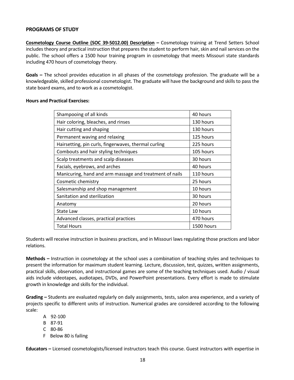#### **PROGRAMS OF STUDY**

**Cosmetology Course Outline (SOC 39-5012.00) Description –** Cosmetology training at Trend Setters School includes theory and practical instruction that prepares the student to perform hair, skin and nail services on the public. The school offers a 1500 hour training program in cosmetology that meets Missouri state standards including 470 hours of cosmetology theory.

**Goals –** The school provides education in all phases of the cosmetology profession. The graduate will be a knowledgeable, skilled professional cosmetologist. The graduate will have the background and skills to pass the state board exams, and to work as a cosmetologist.

| Shampooing of all kinds                                 | 40 hours   |
|---------------------------------------------------------|------------|
|                                                         |            |
| Hair coloring, bleaches, and rinses                     | 130 hours  |
| Hair cutting and shaping                                | 130 hours  |
| Permanent waving and relaxing                           | 125 hours  |
| Hairsetting, pin curls, fingerwaves, thermal curling    | 225 hours  |
| Combouts and hair styling techniques                    | 105 hours  |
| Scalp treatments and scalp diseases                     | 30 hours   |
| Facials, eyebrows, and arches                           | 40 hours   |
| Manicuring, hand and arm massage and treatment of nails | 110 hours  |
| Cosmetic chemistry                                      | 25 hours   |
| Salesmanship and shop management                        | 10 hours   |
| Sanitation and sterilization                            | 30 hours   |
| Anatomy                                                 | 20 hours   |
| State Law                                               | 10 hours   |
| Advanced classes, practical practices                   | 470 hours  |
| <b>Total Hours</b>                                      | 1500 hours |

#### **Hours and Practical Exercises:**

Students will receive instruction in business practices, and in Missouri laws regulating those practices and labor relations.

**Methods –** Instruction in cosmetology at the school uses a combination of teaching styles and techniques to present the information for maximum student learning. Lecture, discussion, test, quizzes, written assignments, practical skills, observation, and instructional games are some of the teaching techniques used. Audio / visual aids include videotapes, audiotapes, DVDs, and PowerPoint presentations. Every effort is made to stimulate growth in knowledge and skills for the individual.

**Grading –** Students are evaluated regularly on daily assignments, tests, salon area experience, and a variety of projects specific to different units of instruction. Numerical grades are considered according to the following scale:

- A 92-100
- B 87-91
- C 80-86
- F Below 80 is failing

**Educators –** Licensed cosmetologists/licensed instructors teach this course. Guest instructors with expertise in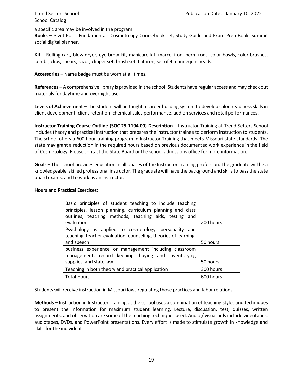School Catalog

a specific area may be involved in the program.

**Books –** Pivot Point Fundamentals Cosmetology Coursebook set, Study Guide and Exam Prep Book; Summit social digital planner.

**Kit –** Rolling cart**,** blow dryer, eye brow kit, manicure kit, marcel iron, perm rods, color bowls, color brushes, combs, clips, shears, razor, clipper set, brush set, flat iron, set of 4 mannequin heads.

**Accessories –** Name badge must be worn at all times.

**References –** A comprehensive library is provided in the school. Students have regular access and may check out materials for daytime and overnight use.

**Levels of Achievement –** The student will be taught a career building system to develop salon readiness skills in client development, client retention, chemical sales performance, add on services and retail performances.

**Instructor Training Course Outline (SOC 25-1194.00) Description –** Instructor Training at Trend Setters School includes theory and practical instruction that prepares the instructor trainee to perform instruction to students. The school offers a 600 hour training program in Instructor Training that meets Missouri state standards. The state may grant a reduction in the required hours based on previous documented work experience in the field of Cosmetology. Please contact the State Board or the school admissions office for more information.

**Goals –** The school provides education in all phases of the Instructor Training profession. The graduate will be a knowledgeable, skilled professional instructor. The graduate will have the background and skills to pass the state board exams, and to work as an instructor.

#### **Hours and Practical Exercises:**

| Basic principles of student teaching to include teaching<br>principles, lesson planning, curriculum planning and class   |           |
|--------------------------------------------------------------------------------------------------------------------------|-----------|
| outlines, teaching methods, teaching aids, testing and                                                                   |           |
| evaluation                                                                                                               | 200 hours |
| Psychology as applied to cosmetology, personality and<br>teaching, teacher evaluation, counseling, theories of learning, |           |
| and speech                                                                                                               | 50 hours  |
| business experience or management including classroom                                                                    |           |
| management, record keeping, buying and inventorying                                                                      |           |
| supplies, and state law                                                                                                  | 50 hours  |
| Teaching in both theory and practical application                                                                        | 300 hours |
| <b>Total Hours</b>                                                                                                       | 600 hours |

Students will receive instruction in Missouri laws regulating those practices and labor relations.

**Methods –** Instruction in Instructor Training at the school uses a combination of teaching styles and techniques to present the information for maximum student learning. Lecture, discussion, test, quizzes, written assignments, and observation are some of the teaching techniques used. Audio / visual aids include videotapes, audiotapes, DVDs, and PowerPoint presentations. Every effort is made to stimulate growth in knowledge and skills for the individual.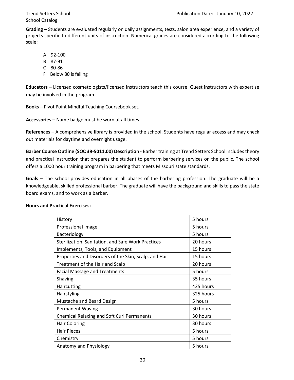**Grading –** Students are evaluated regularly on daily assignments, tests, salon area experience, and a variety of projects specific to different units of instruction. Numerical grades are considered according to the following scale:

- A 92-100
- B 87-91
- C 80-86
- F Below 80 is failing

**Educators –** Licensed cosmetologists/licensed instructors teach this course. Guest instructors with expertise may be involved in the program.

**Books –** Pivot Point Mindful Teaching Coursebook set.

**Accessories –** Name badge must be worn at all times

**References –** A comprehensive library is provided in the school. Students have regular access and may check out materials for daytime and overnight usage.

**Barber Course Outline (SOC 39-5011.00) Description** - Barber training at Trend Setters School includes theory and practical instruction that prepares the student to perform barbering services on the public. The school offers a 1000 hour training program in barbering that meets Missouri state standards.

**Goals** – The school provides education in all phases of the barbering profession. The graduate will be a knowledgeable, skilled professional barber. The graduate will have the background and skills to pass the state board exams, and to work as a barber.

| History                                               | 5 hours   |
|-------------------------------------------------------|-----------|
| Professional Image                                    | 5 hours   |
| Bacteriology                                          | 5 hours   |
| Sterilization, Sanitation, and Safe Work Practices    | 20 hours  |
| Implements, Tools, and Equipment                      | 15 hours  |
| Properties and Disorders of the Skin, Scalp, and Hair | 15 hours  |
| Treatment of the Hair and Scalp                       | 20 hours  |
| <b>Facial Massage and Treatments</b>                  | 5 hours   |
| Shaving                                               | 35 hours  |
| Haircutting                                           | 425 hours |
| Hairstyling                                           | 325 hours |
| Mustache and Beard Design                             | 5 hours   |
| <b>Permanent Waving</b>                               | 30 hours  |
| <b>Chemical Relaxing and Soft Curl Permanents</b>     | 30 hours  |
| <b>Hair Coloring</b>                                  | 30 hours  |
| <b>Hair Pieces</b>                                    | 5 hours   |
| Chemistry                                             | 5 hours   |
| Anatomy and Physiology                                | 5 hours   |

#### **Hours and Practical Exercises:**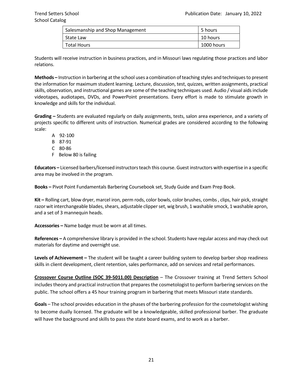| Salesmanship and Shop Management | 5 hours    |
|----------------------------------|------------|
| State Law                        | 10 hours   |
| Total Hours                      | 1000 hours |

Students will receive instruction in business practices, and in Missouri laws regulating those practices and labor relations.

**Methods –** Instruction in barbering at the school uses a combination of teaching styles and techniques to present the information for maximum student learning. Lecture, discussion, test, quizzes, written assignments, practical skills, observation, and instructional games are some of the teaching techniques used. Audio / visual aids include videotapes, audiotapes, DVDs, and PowerPoint presentations. Every effort is made to stimulate growth in knowledge and skills for the individual.

**Grading –** Students are evaluated regularly on daily assignments, tests, salon area experience, and a variety of projects specific to different units of instruction. Numerical grades are considered according to the following scale:

- A 92-100
- B 87-91
- C 80-86
- F Below 80 is failing

**Educators –** Licensed barbers/licensed instructors teach this course. Guest instructors with expertise in a specific area may be involved in the program.

**Books –** Pivot Point Fundamentals Barbering Coursebook set, Study Guide and Exam Prep Book.

**Kit –** Rolling cart, blow dryer, marcel iron, perm rods, color bowls, color brushes, combs , clips, hair pick, straight razor wit interchangeable blades, shears, adjustable clipper set, wig brush, 1 washable smock, 1 washable apron, and a set of 3 mannequin heads.

**Accessories –** Name badge must be worn at all times.

**References –** A comprehensive library is provided in the school. Students have regular access and may check out materials for daytime and overnight use.

**Levels of Achievement –** The student will be taught a career building system to develop barber shop readiness skills in client development, client retention, sales performance, add on services and retail performances.

**Crossover Course Outline (SOC 39-5011.00) Description** – The Crossover training at Trend Setters School includes theory and practical instruction that prepares the cosmetologist to perform barbering services on the public. The school offers a 45 hour training program in barbering that meets Missouri state standards.

**Goals** – The school provides education in the phases of the barbering profession for the cosmetologist wishing to become dually licensed. The graduate will be a knowledgeable, skilled professional barber. The graduate will have the background and skills to pass the state board exams, and to work as a barber.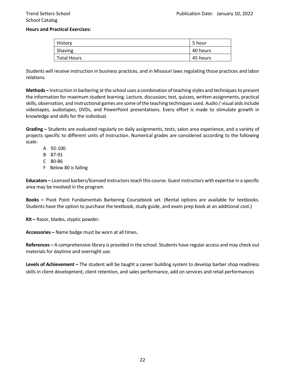#### **Hours and Practical Exercises:**

| <b>History</b> | 5 hour   |
|----------------|----------|
| Shaving        | 40 hours |
| Total Hours    | 45 hours |

Students will receive instruction in business practices, and in Missouri laws regulating those practices and labor relations.

**Methods –** Instruction in barbering at the school uses a combination of teaching styles and techniques to present the information for maximum student learning. Lecture, discussion, test, quizzes, written assignments, practical skills, observation, and instructional games are some of the teaching techniques used. Audio / visual aids include videotapes, audiotapes, DVDs, and PowerPoint presentations. Every effort is made to stimulate growth in knowledge and skills for the individual.

**Grading –** Students are evaluated regularly on daily assignments, tests, salon area experience, and a variety of projects specific to different units of instruction. Numerical grades are considered according to the following scale:

- A 92-100
- B 87-91
- C 80-86
- F Below 80 is failing

**Educators –** Licensed barbers/licensed instructors teach this course. Guest instructors with expertise in a specific area may be involved in the program.

**Books –** Pivot Point Fundamentals Barbering Coursebook set. (Rental options are available for textbooks. Students have the option to purchase the textbook, study guide, and exam prep book at an additional cost.)

**Kit –** Razor, blades, styptic powder.

**Accessories –** Name badge must be worn at all times.

**References –** A comprehensive library is provided in the school. Students have regular access and may check out materials for daytime and overnight use.

**Levels of Achievement –** The student will be taught a career building system to develop barber shop readiness skills in client development, client retention, and sales performance, add on services and retail performances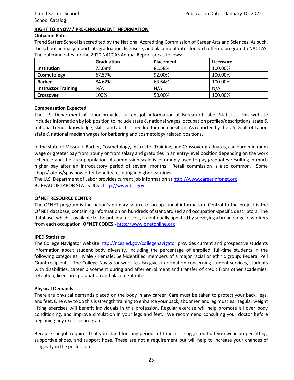#### **RIGHT TO KNOW / PRE-ENROLLMENT INFORMATION**

#### **Outcome Rates**

Trend Setters School is accredited by the National Accrediting Commission of Career Arts and Sciences. As such, the school annually reports its graduation, licensure, and placement rates for each offered program to NACCAS. The outcome rates for the 2020 NACCAS Annual Report are as follows:

|                            | <b>Graduation</b> | <b>Placement</b> | Licensure |
|----------------------------|-------------------|------------------|-----------|
| <b>Institution</b>         | 73.08%            | 81.58%           | 100.00%   |
| Cosmetology                | 67.57%            | 92.00%           | 100.00%   |
| <b>Barber</b>              | 84.62%            | 63.64%           | 100.00%   |
| <b>Instructor Training</b> | N/A               | N/A              | N/A       |
| <b>Crossover</b>           | 100%              | 50.00%           | 100.00%   |

#### **Compensation Expected**

The U.S. Department of Labor provides current job information at Bureau of Labor Statistics. This website includes information by job position to include state & national wages, occupation profiles/descriptions, state & national trends, knowledge, skills, and abilities needed for each position. As reported by the US Dept. of Labor, state & national median wages for barbering and cosmetology related positions.

In the state of Missouri, Barber, Cosmetology, Instructor Training, and Crossover graduates, can earn minimum wage or greater pay from hourly or from salary and gratuities in an entry-level position depending on the work schedule and the area population. A commission scale is commonly used to pay graduates resulting in much higher pay after an introductory period of several months. Retail commission is also common. Some shops/salons/spas now offer benefits resulting in higher earnings.

The U.S. Department of Labor provides current job information a[t http://www.careerinfonet.org](http://www.careerinfonet.org/)  BUREAU OF LABOR STATISTICS - [http://www.bls.gov](http://www.bls.gov/)

#### **O\*NET RESOURCE CENTER**

The O\*NET program is the nation's primary source of occupational information. Central to the project is the O\*NET database, containing information on hundreds of standardized and occupation-specific descriptors. The database, which is available to the public at no cost, is continually updated by surveying a broad range of workers from each occupation. **O\*NET CODES -** [http://www.onetonline.org](http://www.onetonline.org/link/summary/39-5012.00)

#### **IPED Statistics**

The College Navigator website<http://nces.ed.gov/collegenavigator> provides current and prospective students information about student body diversity, including the percentage of enrolled, full-time students in the following categories: Male / Female; Self-identified members of a major racial or ethnic group; Federal Pell Grant recipients. The College Navigator website also gives information concerning student services, students with disabilities, career placement during and after enrollment and transfer of credit from other academies, retention, licensure, graduation and placement rates.

#### **Physical Demands**

There are physical demands placed on the body in any career. Care must be taken to protect your back, legs, and feet. One way to do this is strength training to enhance your back, abdomen and leg muscles. Regular weight lifting exercises will benefit individuals in this profession. Regular exercise will help promote all over body conditioning, and improve circulation in your legs and feet. We recommend consulting your doctor before beginning any exercise program.

Because the job requires that you stand for long periods of time, it is suggested that you wear proper fitting, supportive shoes, and support hose. These are not a requirement but will help to increase your chances of longevity in the profession.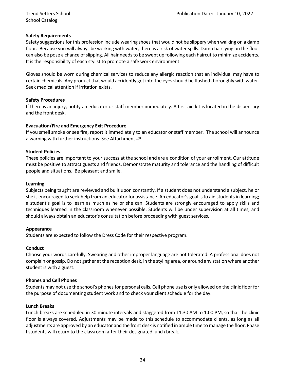School Catalog

#### **Safety Requirements**

Safety suggestions for this profession include wearing shoes that would not be slippery when walking on a damp floor. Because you will always be working with water, there is a risk of water spills. Damp hair lying on the floor can also be pose a chance of slipping. All hair needs to be swept up following each haircut to minimize accidents. It is the responsibility of each stylist to promote a safe work environment.

Gloves should be worn during chemical services to reduce any allergic reaction that an individual may have to certain chemicals. Any product that would accidently get into the eyes should be flushed thoroughly with water. Seek medical attention if irritation exists.

#### **Safety Procedures**

If there is an injury, notify an educator or staff member immediately. A first aid kit is located in the dispensary and the front desk.

#### **Evacuation/Fire and Emergency Exit Procedure**

If you smell smoke or see fire, report it immediately to an educator or staff member. The school will announce a warning with further instructions. See Attachment #3.

#### **Student Policies**

These policies are important to your success at the school and are a condition of your enrollment. Our attitude must be positive to attract guests and friends. Demonstrate maturity and tolerance and the handling of difficult people and situations. Be pleasant and smile.

#### **Learning**

Subjects being taught are reviewed and built upon constantly. If a student does not understand a subject, he or she is encouraged to seek help from an educator for assistance. An educator's goal is to aid students in learning; a student's goal is to learn as much as he or she can. Students are strongly encouraged to apply skills and techniques learned in the classroom whenever possible. Students will be under supervision at all times, and should always obtain an educator's consultation before proceeding with guest services.

#### **Appearance**

Students are expected to follow the Dress Code for their respective program.

#### **Conduct**

Choose your words carefully. Swearing and other improper language are not tolerated. A professional does not complain or gossip. Do not gather at the reception desk, in the styling area, or around any station where another student is with a guest.

#### **Phones and Cell Phones**

Students may not use the school's phones for personal calls. Cell phone use is only allowed on the clinic floor for the purpose of documenting student work and to check your client schedule for the day.

#### **Lunch Breaks**

Lunch breaks are scheduled in 30 minute intervals and staggered from 11:30 AM to 1:00 PM, so that the clinic floor is always covered. Adjustments may be made to this schedule to accommodate clients, as long as all adjustments are approved by an educator and the front desk is notified in ample time to manage the floor. Phase I students will return to the classroom after their designated lunch break.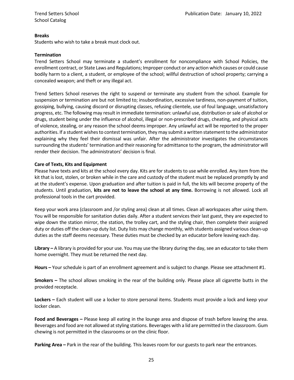#### **Breaks**

Students who wish to take a break must clock out.

#### **Termination**

Trend Setters School may terminate a student's enrollment for noncompliance with School Policies, the enrollment contract, or State Laws and Regulations; Improper conduct or any action which causes or could cause bodily harm to a client, a student, or employee of the school; willful destruction of school property; carrying a concealed weapon; and theft or any illegal act.

Trend Setters School reserves the right to suspend or terminate any student from the school. Example for suspension or termination are but not limited to; insubordination, excessive tardiness, non-payment of tuition, gossiping, bullying, causing discord or disrupting classes, refusing clientele, use of foul language, unsatisfactory progress, etc. The following may result in immediate termination: unlawful use, distribution or sale of alcohol or drugs, student being under the influence of alcohol, illegal or non-prescribed drugs, cheating, and physical acts of violence, stealing, or any reason the school deems improper. Any unlawful act will be reported to the proper authorities. If a student wishes to contest termination, they may submit a written statement to the administrator explaining why they feel their dismissal was unfair. After the administrator investigates the circumstances surrounding the students' termination and their reasoning for admittance to the program, the administrator will render their decision. The administrators' decision is final.

#### **Care of Texts, Kits and Equipment**

Please have texts and kits at the school every day. Kits are for students to use while enrolled. Any item from the kit that is lost, stolen, or broken while in the care and custody of the student must be replaced promptly by and at the student's expense. Upon graduation and after tuition is paid in full, the kits will become property of the students. Until graduation, **kits are not to leave the school at any time.** Borrowing is not allowed. Lock all professional tools in the cart provided.

Keep your work area (classroom and /or styling area) clean at all times. Clean all workspaces after using them. You will be responsible for sanitation duties daily. After a student services their last guest, they are expected to wipe down the station mirror, the station, the trolley cart, and the styling chair, then complete their assigned duty or duties off the clean-up duty list. Duty lists may change monthly, with students assigned various clean-up duties as the staff deems necessary. These duties must be checked by an educator before leaving each day.

**Library** – A library is provided for your use. You may use the library during the day, see an educator to take them home overnight. They must be returned the next day.

**Hours –** Your schedule is part of an enrollment agreement and is subject to change. Please see attachment #1.

**Smokers –** The school allows smoking in the rear of the building only. Please place all cigarette butts in the provided receptacle.

**Lockers –** Each student will use a locker to store personal items. Students must provide a lock and keep your locker clean.

**Food and Beverages –** Please keep all eating in the lounge area and dispose of trash before leaving the area. Beverages and food are not allowed at styling stations. Beverages with a lid are permitted in the classroom. Gum chewing is not permitted in the classrooms or on the clinic floor.

**Parking Area –** Park in the rear of the building. This leaves room for our guests to park near the entrances.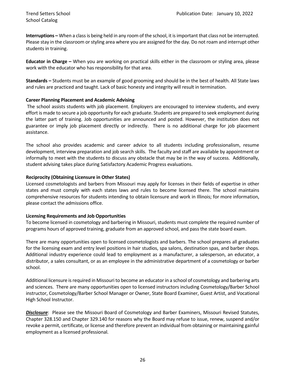**Interruptions –** When a class is being held in any room of the school, it is important that class not be interrupted. Please stay in the classroom or styling area where you are assigned for the day. Do not roam and interrupt other students in training.

**Educator in Charge –** When you are working on practical skills either in the classroom or styling area, please work with the educator who has responsibility for that area.

**Standards –** Students must be an example of good grooming and should be in the best of health. All State laws and rules are practiced and taught. Lack of basic honesty and integrity will result in termination.

#### **Career Planning Placement and Academic Advising**

The school assists students with job placement. Employers are encouraged to interview students, and every effort is made to secure a job opportunity for each graduate. Students are prepared to seek employment during the latter part of training. Job opportunities are announced and posted. However, the institution does not guarantee or imply job placement directly or indirectly. There is no additional charge for job placement assistance.

The school also provides academic and career advice to all students including professionalism, resume development, interview preparation and job search skills. The faculty and staff are available by appointment or informally to meet with the students to discuss any obstacle that may be in the way of success. Additionally, student advising takes place during Satisfactory Academic Progress evaluations.

#### **Reciprocity (Obtaining Licensure in Other States)**

Licensed cosmetologists and barbers from Missouri may apply for licenses in their fields of expertise in other states and must comply with each states laws and rules to become licensed there. The school maintains comprehensive resources for students intending to obtain licensure and work in Illinois; for more information, please contact the admissions office.

#### **Licensing Requirements and Job Opportunities**

To become licensed in cosmetology and barbering in Missouri, students must complete the required number of programs hours of approved training, graduate from an approved school, and pass the state board exam.

There are many opportunities open to licensed cosmetologists and barbers. The school prepares all graduates for the licensing exam and entry level positions in hair studios, spa salons, destination spas, and barber shops. Additional industry experience could lead to employment as a manufacturer, a salesperson, an educator, a distributor, a sales consultant, or as an employee in the administrative department of a cosmetology or barber school.

Additional licensure is required in Missouri to become an educator in a school of cosmetology and barbering arts and sciences. There are many opportunities open to licensed instructors including Cosmetology/Barber School instructor, Cosmetology/Barber School Manager or Owner, State Board Examiner, Guest Artist, and Vocational High School Instructor.

*Disclosure*: Please see the Missouri Board of Cosmetology and Barber Examiners, Missouri Revised Statutes, Chapter 328.150 and Chapter 329.140 for reasons why the Board may refuse to issue, renew, suspend and/or revoke a permit, certificate, or license and therefore prevent an individual from obtaining or maintaining gainful employment as a licensed professional.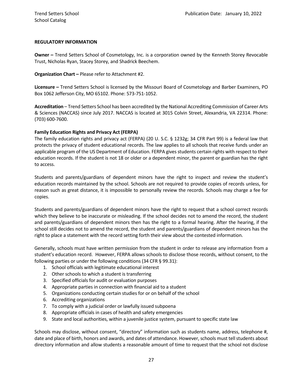#### **REGULATORY INFORMATION**

**Owner –** Trend Setters School of Cosmetology, Inc. is a corporation owned by the Kenneth Storey Revocable Trust, Nicholas Ryan, Stacey Storey, and Shadrick Beechem.

**Organization Chart –** Please refer to Attachment #2.

**Licensure –** Trend Setters School is licensed by the Missouri Board of Cosmetology and Barber Examiners, PO Box 1062 Jefferson City, MO 65102. Phone: 573-751-1052.

**Accreditation** – Trend Setters School has been accredited by the National Accrediting Commission of Career Arts & Sciences (NACCAS) since July 2017. NACCAS is located at 3015 Colvin Street, Alexandria, VA 22314. Phone: (703) 600-7600.

#### **Family Education Rights and Privacy Act (FERPA)**

The family education rights and privacy act (FERPA) (20 U. S.C. § 1232g; 34 CFR Part 99) is a federal law that protects the privacy of student educational records. The law applies to all schools that receive funds under an applicable program of the US Department of Education. FERPA gives students certain rights with respect to their education records. If the student is not 18 or older or a dependent minor, the parent or guardian has the right to access.

Students and parents/guardians of dependent minors have the right to inspect and review the student's education records maintained by the school. Schools are not required to provide copies of records unless, for reason such as great distance, it is impossible to personally review the records. Schools may charge a fee for copies.

Students and parents/guardians of dependent minors have the right to request that a school correct records which they believe to be inaccurate or misleading. If the school decides not to amend the record, the student and parents/guardians of dependent minors then has the right to a formal hearing. After the hearing, if the school still decides not to amend the record, the student and parents/guardians of dependent minors has the right to place a statement with the record setting forth their view about the contested information.

Generally, schools must have written permission from the student in order to release any information from a student's education record. However, FERPA allows schools to disclose those records, without consent, to the following parties or under the following conditions (34 CFR § 99.31):

- 1. School officials with legitimate educational interest
- 2. Other schools to which a student is transferring
- 3. Specified officials for audit or evaluation purposes
- 4. Appropriate parties in connection with financial aid to a student
- 5. Organizations conducting certain studies for or on behalf of the school
- 6. Accrediting organizations
- 7. To comply with a judicial order or lawfully issued subpoena
- 8. Appropriate officials in cases of health and safety emergencies
- 9. State and local authorities, within a juvenile justice system, pursuant to specific state law

Schools may disclose, without consent, "directory" information such as students name, address, telephone #, date and place of birth, honors and awards, and dates of attendance. However, schools must tell students about directory information and allow students a reasonable amount of time to request that the school not disclose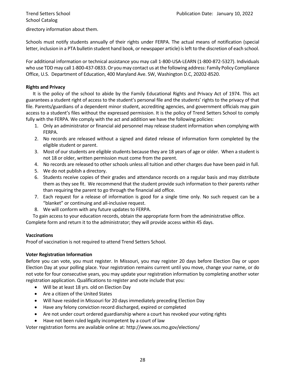School Catalog

directory information about them.

Schools must notify students annually of their rights under FERPA. The actual means of notification (special letter, inclusion in a PTA bulletin student hand book, or newspaper article) is left to the discretion of each school.

For additional information or technical assistance you may call 1-800-USA-LEARN (1-800-872-5327). Individuals who use TDD may call 1-800-437-0833. Or you may contact us at the following address: Family Policy Compliance Office, U.S. Department of Education, 400 Maryland Ave. SW, Washington D.C, 20202-8520.

#### **Rights and Privacy**

It is the policy of the school to abide by the Family Educational Rights and Privacy Act of 1974. This act guarantees a student right of access to the student's personal file and the students' rights to the privacy of that file. Parents/guardians of a dependent minor student, accrediting agencies, and government officials may gain access to a student's files without the expressed permission. It is the policy of Trend Setters School to comply fully with the FERPA. We comply with the act and addition we have the following policies:

- 1. Only an administrator or financial aid personnel may release student information when complying with FERPA.
- 2. No records are released without a signed and dated release of information form completed by the eligible student or parent.
- 3. Most of our students are eligible students because they are 18 years of age or older. When a student is not 18 or older, written permission must come from the parent.
- 4. No records are released to other schools unless all tuition and other charges due have been paid in full.
- 5. We do not publish a directory.
- 6. Students receive copies of their grades and attendance records on a regular basis and may distribute them as they see fit. We recommend that the student provide such information to their parents rather than requiring the parent to go through the financial aid office.
- 7. Each request for a release of information is good for a single time only. No such request can be a "blanket" or continuing and all-inclusive request.
- 8. We will conform with any future updates to FERPA.

To gain access to your education records, obtain the appropriate form from the administrative office.

Complete form and return it to the administrator; they will provide access within 45 days.

#### **Vaccinations**

Proof of vaccination is not required to attend Trend Setters School.

#### **Voter Registration Information**

Before you can vote, you must register. In Missouri, you may register 20 days before Election Day or upon Election Day at your polling place. Your registration remains current until you move, change your name, or do not vote for four consecutive years, you may update your registration information by completing another voter registration application. Qualifications to register and vote include that you:

- Will be at least 18 yrs. old on Election Day
- Are a citizen of the United States
- Will have resided in Missouri for 20 days immediately preceding Election Day
- Have any felony conviction record discharged, expired or completed
- Are not under court ordered guardianship where a court has revoked your voting rights
- Have not been ruled legally incompetent by a court of law

Voter registration forms are available online at: http://www.sos.mo.gov/elections/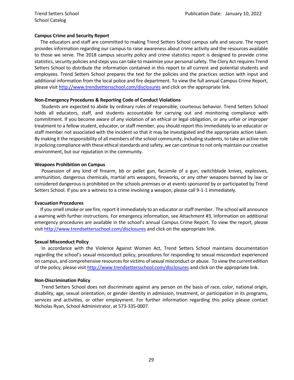#### **Campus Crime and Security Report**

 The educators and staff are committed to making Trend Setters School campus safe and secure. The report provides information regarding our campus to raise awareness about crime activity and the resources available to those we serve. The 2018 campus security policy and crime statistics report is designed to provide crime statistics, security policies and steps you can take to maximize your personal safety. The Clery Act requires Trend Setters School to distribute the information contained in this report to all current and potential students and employees. Trend Setters School prepares the text for the policies and the practices section with input and additional information from the local police and fire department. To view the full annual Campus Crime Report, please visi[t http://www.trendsettersschool.com/disclosures](http://www.trendsettersschool.com/disclosures) and click on the appropriate link.

#### **Non-Emergency Procedures & Reporting Code of Conduct Violations**

Students are expected to abide by ordinary rules of responsible, courteous behavior. Trend Setters School holds all educators, staff, and students accountable for carrying out and monitoring compliance with commitment. If you become aware of any violation of an ethical or legal obligation, or any unfair or improper treatment to a fellow student, educator, or staff member, you should report this immediately to an educator or staff member not associated with the incident so that it may be investigated and the appropriate action taken. By making it the responsibility of all members of the school community, including students, to take an active role in policing compliance with these ethical standards and safety, we can continue to not only maintain our creative environment, but our reputation in the community.

#### **Weapons Prohibition on Campus**

Possession of any kind of firearm, bb or pellet gun, facsimile of a gun, switchblade knives, explosives, ammunition, dangerous chemicals, martial arts weapons, fireworks, or any other weapons banned by law or considered dangerous is prohibited on the schools premises or at events sponsored by or participated by Trend Setters School. If you are a witness to a crime involving a weapon, please call 9-1-1 immediately.

#### **Evacuation Procedures**

 If you smell smoke or see fire, report it immediately to an educator or staff member. The school will announce a warning with further instructions. For emergency information, see Attachment #3. Information on additional emergency procedures are available in the school's annual Campus Crime Report. To view the report, please visit<http://www.trendsettersschool.com/disclosures> and click on the appropriate link.

#### **Sexual Misconduct Policy**

In accordance with the Violence Against Women Act, Trend Setters School maintains documentation regarding the school's sexual misconduct policy, procedures for responding to sexual misconduct experienced on campus, and comprehensive resources for victims of sexual misconduct or abuse. To view the current edition of the policy, please visi[t http://www.trendsettersschool.com/disclosures](http://www.trendsettersschool.com/disclosures) and click on the appropriate link.

#### **Non-Discrimination Policy**

Trend Setters School does not discriminate against any person on the basis of race, color, national origin, disability, age, sexual orientation, or gender identity in admission, treatment, or participation in its programs, services and activities, or other employment. For further information regarding this policy please contact Nicholas Ryan, School Administrator, at 573-335-0007.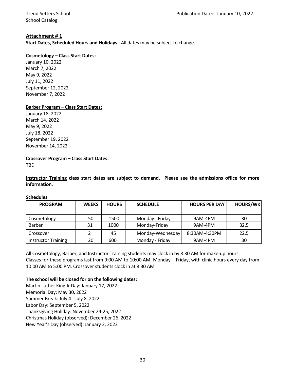School Catalog

#### **Attachment # 1**

**Start Dates, Scheduled Hours and Holidays -** All dates may be subject to change.

#### **Cosmetology – Class Start Dates:**

January 10, 2022 March 7, 2022 May 9, 2022 July 11, 2022 September 12, 2022 November 7, 2022

#### **Barber Program – Class Start Dates:**

January 18, 2022 March 14, 2022 May 9, 2022 July 18, 2022 September 19, 2022 November 14, 2022

#### **Crossover Program – Class Start Dates:**

TBD

**Instructor Training class start dates are subject to demand. Please see the admissions office for more information.**

#### **Schedules**

| <b>PROGRAM</b>             | <b>WEEKS</b> | <b>HOURS</b> | <b>SCHEDULE</b>  | <b>HOURS PER DAY</b> | <b>HOURS/WK</b> |
|----------------------------|--------------|--------------|------------------|----------------------|-----------------|
| Cosmetology                | 50           | 1500         | Monday - Friday  | 9AM-4PM              | 30              |
| Barber                     | 31           | 1000         | Monday-Friday    | 9AM-4PM              | 32.5            |
| Crossover                  |              | 45           | Monday-Wednesday | 8:30AM-4:30PM        | 22.5            |
| <b>Instructor Training</b> | 20           | 600          | Monday - Friday  | 9AM-4PM              | 30              |

All Cosmetology, Barber, and Instructor Training students may clock in by 8:30 AM for make-up hours. Classes for these programs last from 9:00 AM to 10:00 AM; Monday – Friday, with clinic hours every day from 10:00 AM to 5:00 PM. Crossover students clock in at 8:30 AM.

#### **The school will be closed for on the following dates:**

Martin Luther King Jr Day: January 17, 2022 Memorial Day: May 30, 2022 Summer Break: July 4 - July 8, 2022 Labor Day: September 5, 2022 Thanksgiving Holiday: November 24-25, 2022 Christmas Holiday (observed): December 26, 2022 New Year's Day (observed): January 2, 2023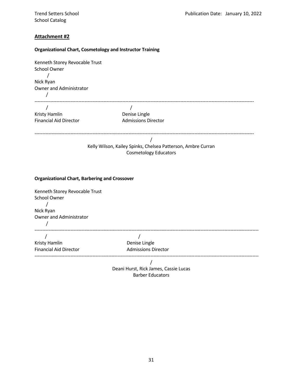School Catalog

#### **Attachment #2**

#### **Organizational Chart, Cosmetology and Instructor Training**

| Kenneth Storey Revocable Trust<br>School Owner       |                                                              |
|------------------------------------------------------|--------------------------------------------------------------|
|                                                      |                                                              |
| Nick Ryan                                            |                                                              |
| Owner and Administrator                              |                                                              |
|                                                      |                                                              |
| $\prime$                                             | $\prime$                                                     |
| Kristy Hamlin                                        | Denise Lingle                                                |
| <b>Financial Aid Director</b>                        | <b>Admissions Director</b>                                   |
|                                                      |                                                              |
|                                                      | $\prime$                                                     |
|                                                      | Kelly Wilson, Kailey Spinks, Chelsea Patterson, Ambre Curran |
|                                                      | <b>Cosmetology Educators</b>                                 |
|                                                      |                                                              |
|                                                      |                                                              |
| <b>Organizational Chart, Barbering and Crossover</b> |                                                              |
| Kenneth Storey Revocable Trust                       |                                                              |
| School Owner                                         |                                                              |
|                                                      |                                                              |
| Nick Ryan                                            |                                                              |
| Owner and Administrator                              |                                                              |
|                                                      |                                                              |
| T                                                    | $\sqrt{ }$                                                   |
| Kristy Hamlin                                        | Denise Lingle                                                |
| <b>Financial Aid Director</b>                        | <b>Admissions Director</b>                                   |
|                                                      |                                                              |
|                                                      | $\overline{1}$                                               |
|                                                      | Deani Hurst, Rick James, Cassie Lucas                        |
|                                                      | <b>Barber Educators</b>                                      |